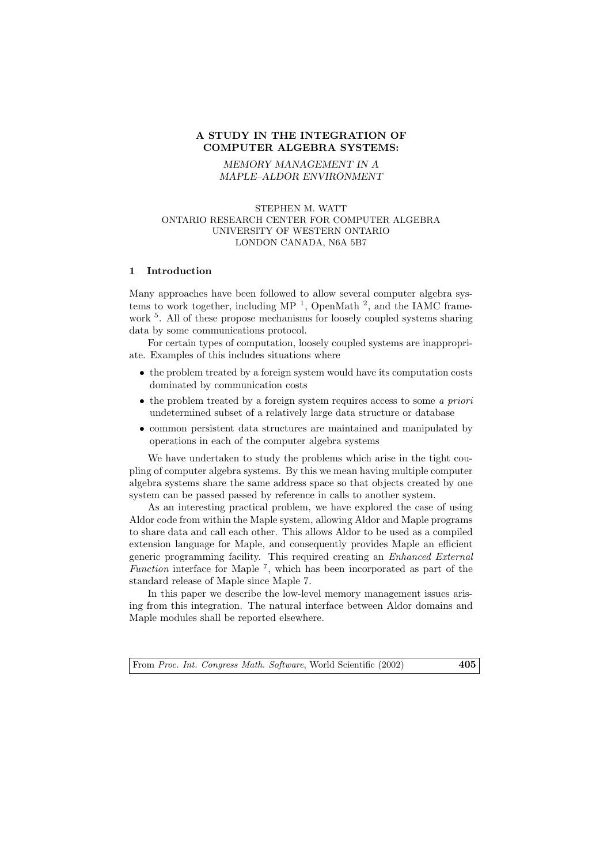# A STUDY IN THE INTEGRATION OF COMPUTER ALGEBRA SYSTEMS:

# MEMORY MANAGEMENT IN A MAPLE–ALDOR ENVIRONMENT

## STEPHEN M. WATT ONTARIO RESEARCH CENTER FOR COMPUTER ALGEBRA UNIVERSITY OF WESTERN ONTARIO LONDON CANADA, N6A 5B7

#### 1 Introduction

Many approaches have been followed to allow several computer algebra systems to work together, including MP<sup>1</sup>, OpenMath<sup>2</sup>, and the IAMC framework <sup>5</sup>. All of these propose mechanisms for loosely coupled systems sharing data by some communications protocol.

For certain types of computation, loosely coupled systems are inappropriate. Examples of this includes situations where

- the problem treated by a foreign system would have its computation costs dominated by communication costs
- the problem treated by a foreign system requires access to some a priori undetermined subset of a relatively large data structure or database
- common persistent data structures are maintained and manipulated by operations in each of the computer algebra systems

We have undertaken to study the problems which arise in the tight coupling of computer algebra systems. By this we mean having multiple computer algebra systems share the same address space so that objects created by one system can be passed passed by reference in calls to another system.

As an interesting practical problem, we have explored the case of using Aldor code from within the Maple system, allowing Aldor and Maple programs to share data and call each other. This allows Aldor to be used as a compiled extension language for Maple, and consequently provides Maple an efficient generic programming facility. This required creating an Enhanced External Function interface for Maple<sup>7</sup>, which has been incorporated as part of the standard release of Maple since Maple 7.

In this paper we describe the low-level memory management issues arising from this integration. The natural interface between Aldor domains and Maple modules shall be reported elsewhere.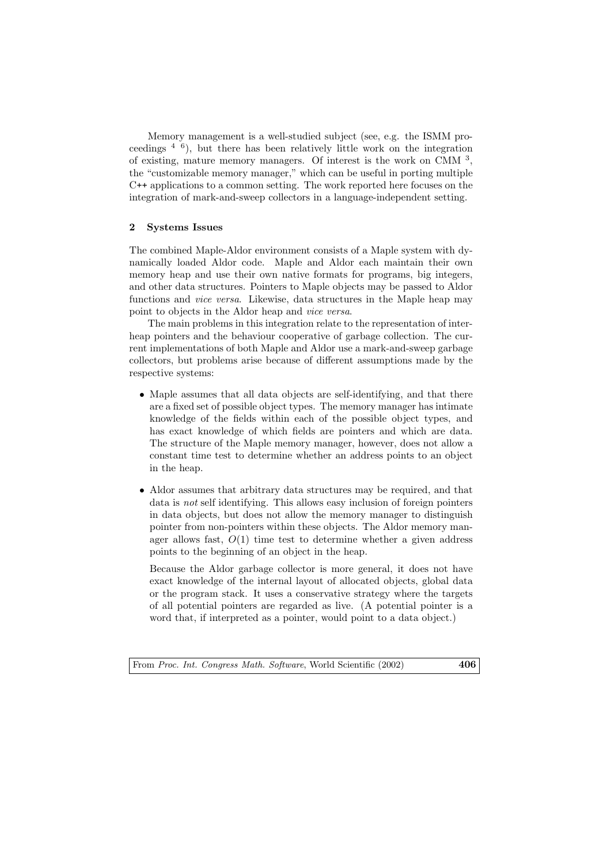Memory management is a well-studied subject (see, e.g. the ISMM proceedings  $4\overset{6}{ }$ , but there has been relatively little work on the integration of existing, mature memory managers. Of interest is the work on CMM <sup>3</sup> , the "customizable memory manager," which can be useful in porting multiple C++ applications to a common setting. The work reported here focuses on the integration of mark-and-sweep collectors in a language-independent setting.

## 2 Systems Issues

The combined Maple-Aldor environment consists of a Maple system with dynamically loaded Aldor code. Maple and Aldor each maintain their own memory heap and use their own native formats for programs, big integers, and other data structures. Pointers to Maple objects may be passed to Aldor functions and vice versa. Likewise, data structures in the Maple heap may point to objects in the Aldor heap and vice versa.

The main problems in this integration relate to the representation of interheap pointers and the behaviour cooperative of garbage collection. The current implementations of both Maple and Aldor use a mark-and-sweep garbage collectors, but problems arise because of different assumptions made by the respective systems:

- Maple assumes that all data objects are self-identifying, and that there are a fixed set of possible object types. The memory manager has intimate knowledge of the fields within each of the possible object types, and has exact knowledge of which fields are pointers and which are data. The structure of the Maple memory manager, however, does not allow a constant time test to determine whether an address points to an object in the heap.
- Aldor assumes that arbitrary data structures may be required, and that data is not self identifying. This allows easy inclusion of foreign pointers in data objects, but does not allow the memory manager to distinguish pointer from non-pointers within these objects. The Aldor memory manager allows fast,  $O(1)$  time test to determine whether a given address points to the beginning of an object in the heap.

Because the Aldor garbage collector is more general, it does not have exact knowledge of the internal layout of allocated objects, global data or the program stack. It uses a conservative strategy where the targets of all potential pointers are regarded as live. (A potential pointer is a word that, if interpreted as a pointer, would point to a data object.)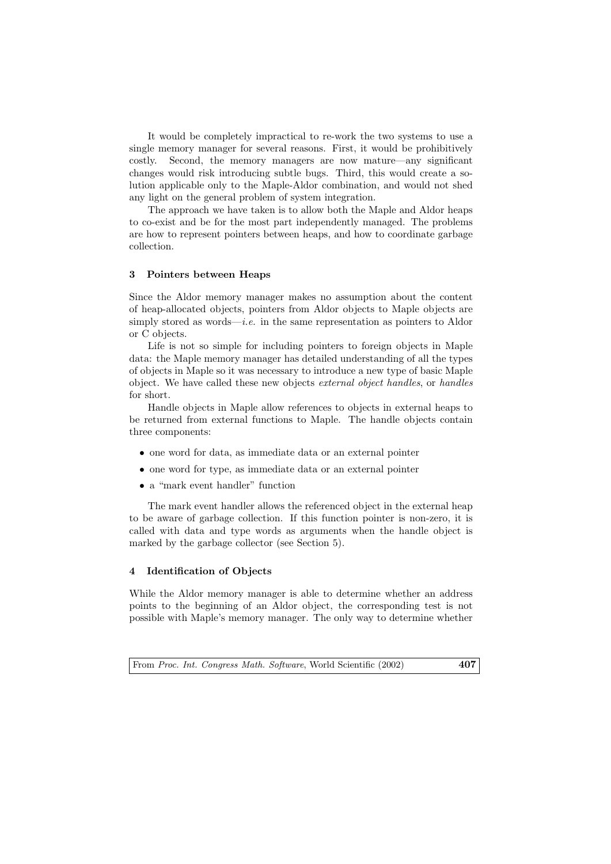It would be completely impractical to re-work the two systems to use a single memory manager for several reasons. First, it would be prohibitively costly. Second, the memory managers are now mature—any significant changes would risk introducing subtle bugs. Third, this would create a solution applicable only to the Maple-Aldor combination, and would not shed any light on the general problem of system integration.

The approach we have taken is to allow both the Maple and Aldor heaps to co-exist and be for the most part independently managed. The problems are how to represent pointers between heaps, and how to coordinate garbage collection.

## 3 Pointers between Heaps

Since the Aldor memory manager makes no assumption about the content of heap-allocated objects, pointers from Aldor objects to Maple objects are simply stored as words—*i.e.* in the same representation as pointers to Aldor or C objects.

Life is not so simple for including pointers to foreign objects in Maple data: the Maple memory manager has detailed understanding of all the types of objects in Maple so it was necessary to introduce a new type of basic Maple object. We have called these new objects external object handles, or handles for short.

Handle objects in Maple allow references to objects in external heaps to be returned from external functions to Maple. The handle objects contain three components:

- one word for data, as immediate data or an external pointer
- one word for type, as immediate data or an external pointer
- a "mark event handler" function

The mark event handler allows the referenced object in the external heap to be aware of garbage collection. If this function pointer is non-zero, it is called with data and type words as arguments when the handle object is marked by the garbage collector (see Section 5).

## 4 Identification of Objects

While the Aldor memory manager is able to determine whether an address points to the beginning of an Aldor object, the corresponding test is not possible with Maple's memory manager. The only way to determine whether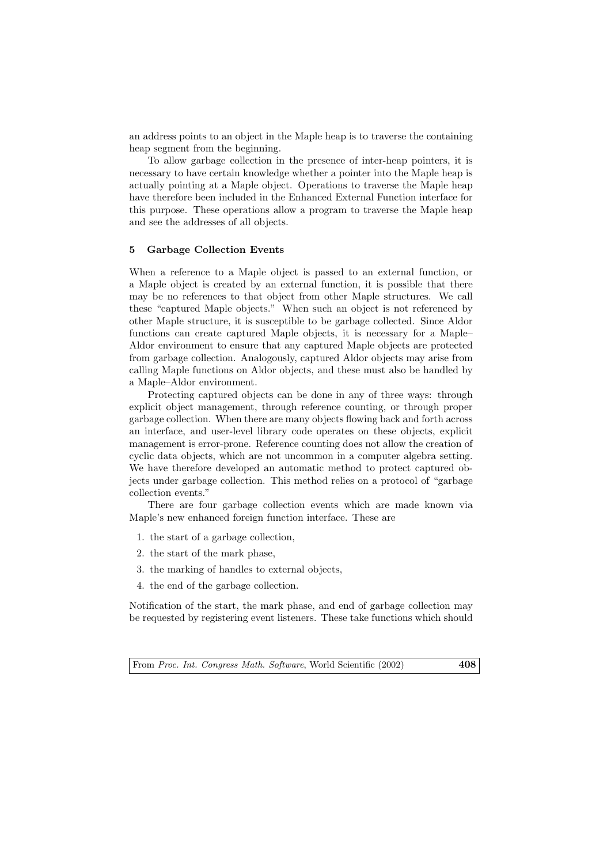an address points to an object in the Maple heap is to traverse the containing heap segment from the beginning.

To allow garbage collection in the presence of inter-heap pointers, it is necessary to have certain knowledge whether a pointer into the Maple heap is actually pointing at a Maple object. Operations to traverse the Maple heap have therefore been included in the Enhanced External Function interface for this purpose. These operations allow a program to traverse the Maple heap and see the addresses of all objects.

#### 5 Garbage Collection Events

When a reference to a Maple object is passed to an external function, or a Maple object is created by an external function, it is possible that there may be no references to that object from other Maple structures. We call these "captured Maple objects." When such an object is not referenced by other Maple structure, it is susceptible to be garbage collected. Since Aldor functions can create captured Maple objects, it is necessary for a Maple– Aldor environment to ensure that any captured Maple objects are protected from garbage collection. Analogously, captured Aldor objects may arise from calling Maple functions on Aldor objects, and these must also be handled by a Maple–Aldor environment.

Protecting captured objects can be done in any of three ways: through explicit object management, through reference counting, or through proper garbage collection. When there are many objects flowing back and forth across an interface, and user-level library code operates on these objects, explicit management is error-prone. Reference counting does not allow the creation of cyclic data objects, which are not uncommon in a computer algebra setting. We have therefore developed an automatic method to protect captured objects under garbage collection. This method relies on a protocol of "garbage collection events."

There are four garbage collection events which are made known via Maple's new enhanced foreign function interface. These are

- 1. the start of a garbage collection,
- 2. the start of the mark phase,
- 3. the marking of handles to external objects,
- 4. the end of the garbage collection.

Notification of the start, the mark phase, and end of garbage collection may be requested by registering event listeners. These take functions which should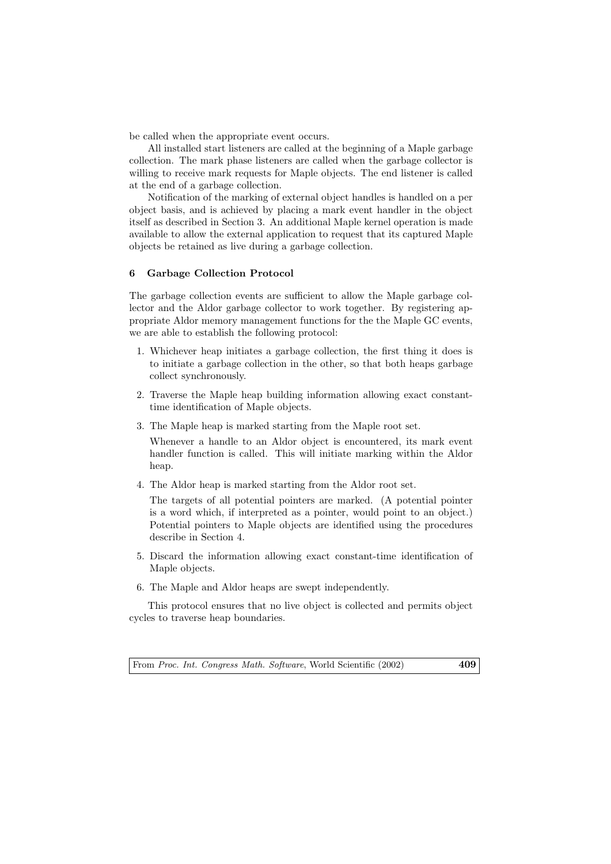be called when the appropriate event occurs.

All installed start listeners are called at the beginning of a Maple garbage collection. The mark phase listeners are called when the garbage collector is willing to receive mark requests for Maple objects. The end listener is called at the end of a garbage collection.

Notification of the marking of external object handles is handled on a per object basis, and is achieved by placing a mark event handler in the object itself as described in Section 3. An additional Maple kernel operation is made available to allow the external application to request that its captured Maple objects be retained as live during a garbage collection.

#### 6 Garbage Collection Protocol

The garbage collection events are sufficient to allow the Maple garbage collector and the Aldor garbage collector to work together. By registering appropriate Aldor memory management functions for the the Maple GC events, we are able to establish the following protocol:

- 1. Whichever heap initiates a garbage collection, the first thing it does is to initiate a garbage collection in the other, so that both heaps garbage collect synchronously.
- 2. Traverse the Maple heap building information allowing exact constanttime identification of Maple objects.
- 3. The Maple heap is marked starting from the Maple root set.

Whenever a handle to an Aldor object is encountered, its mark event handler function is called. This will initiate marking within the Aldor heap.

4. The Aldor heap is marked starting from the Aldor root set.

The targets of all potential pointers are marked. (A potential pointer is a word which, if interpreted as a pointer, would point to an object.) Potential pointers to Maple objects are identified using the procedures describe in Section 4.

- 5. Discard the information allowing exact constant-time identification of Maple objects.
- 6. The Maple and Aldor heaps are swept independently.

This protocol ensures that no live object is collected and permits object cycles to traverse heap boundaries.